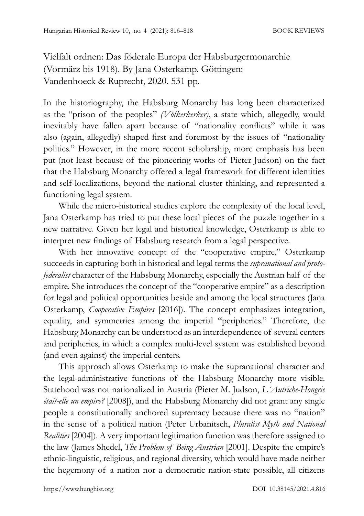Vielfalt ordnen: Das föderale Europa der Habsburgermonarchie (Vormärz bis 1918). By Jana Osterkamp. Göttingen: Vandenhoeck & Ruprecht, 2020. 531 pp.

In the historiography, the Habsburg Monarchy has long been characterized as the "prison of the peoples" *(Völkerkerker)*, a state which, allegedly, would inevitably have fallen apart because of "nationality conflicts" while it was also (again, allegedly) shaped first and foremost by the issues of "nationality politics." However, in the more recent scholarship, more emphasis has been put (not least because of the pioneering works of Pieter Judson) on the fact that the Habsburg Monarchy offered a legal framework for different identities and self-localizations, beyond the national cluster thinking, and represented a functioning legal system.

While the micro-historical studies explore the complexity of the local level, Jana Osterkamp has tried to put these local pieces of the puzzle together in a new narrative. Given her legal and historical knowledge, Osterkamp is able to interpret new findings of Habsburg research from a legal perspective.

With her innovative concept of the "cooperative empire," Osterkamp succeeds in capturing both in historical and legal terms the *supranational and protofederalist* character of the Habsburg Monarchy, especially the Austrian half of the empire. She introduces the concept of the "cooperative empire" as a description for legal and political opportunities beside and among the local structures (Jana Osterkamp, *Cooperative Empires* [2016]). The concept emphasizes integration, equality, and symmetries among the imperial "peripheries." Therefore, the Habsburg Monarchy can be understood as an interdependence of several centers and peripheries, in which a complex multi-level system was established beyond (and even against) the imperial centers.

This approach allows Osterkamp to make the supranational character and the legal-administrative functions of the Habsburg Monarchy more visible. Statehood was not nationalized in Austria (Pieter M. Judson, *L´Autriche-Hongrie était-elle un empire?* [2008]), and the Habsburg Monarchy did not grant any single people a constitutionally anchored supremacy because there was no "nation" in the sense of a political nation (Peter Urbanitsch, *Pluralist Myth and National Realities* [2004]). A very important legitimation function was therefore assigned to the law (James Shedel, *The Problem of Being Austrian* [2001]. Despite the empire's ethnic-linguistic, religious, and regional diversity, which would have made neither the hegemony of a nation nor a democratic nation-state possible, all citizens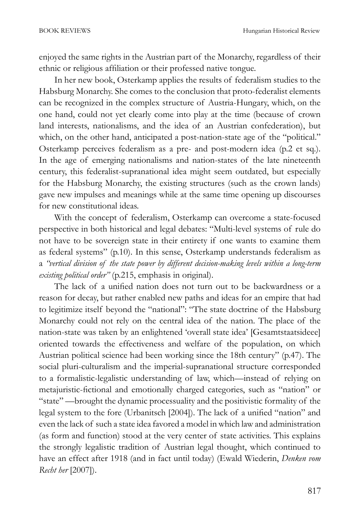enjoyed the same rights in the Austrian part of the Monarchy, regardless of their ethnic or religious affiliation or their professed native tongue.

In her new book, Osterkamp applies the results of federalism studies to the Habsburg Monarchy. She comes to the conclusion that proto-federalist elements can be recognized in the complex structure of Austria-Hungary, which, on the one hand, could not yet clearly come into play at the time (because of crown land interests, nationalisms, and the idea of an Austrian confederation), but which, on the other hand, anticipated a post-nation-state age of the "political." Osterkamp perceives federalism as a pre- and post-modern idea (p.2 et sq.). In the age of emerging nationalisms and nation-states of the late nineteenth century, this federalist-supranational idea might seem outdated, but especially for the Habsburg Monarchy, the existing structures (such as the crown lands) gave new impulses and meanings while at the same time opening up discourses for new constitutional ideas.

With the concept of federalism, Osterkamp can overcome a state-focused perspective in both historical and legal debates: "Multi-level systems of rule do not have to be sovereign state in their entirety if one wants to examine them as federal systems" (p.10). In this sense, Osterkamp understands federalism as a *"vertical division of the state power by different decision-making levels within a long-term existing political order"* (p.215, emphasis in original).

The lack of a unified nation does not turn out to be backwardness or a reason for decay, but rather enabled new paths and ideas for an empire that had to legitimize itself beyond the "national": "The state doctrine of the Habsburg Monarchy could not rely on the central idea of the nation. The place of the nation-state was taken by an enlightened 'overall state idea' [Gesamtstaatsideee] oriented towards the effectiveness and welfare of the population, on which Austrian political science had been working since the 18th century" (p.47). The social pluri-culturalism and the imperial-supranational structure corresponded to a formalistic-legalistic understanding of law, which—instead of relying on metajuristic-fictional and emotionally charged categories, such as "nation" or "state" —brought the dynamic processuality and the positivistic formality of the legal system to the fore (Urbanitsch [2004]). The lack of a unified "nation" and even the lack of such a state idea favored a model in which law and administration (as form and function) stood at the very center of state activities. This explains the strongly legalistic tradition of Austrian legal thought, which continued to have an effect after 1918 (and in fact until today) (Ewald Wiederin, *Denken vom Recht her* [2007]).